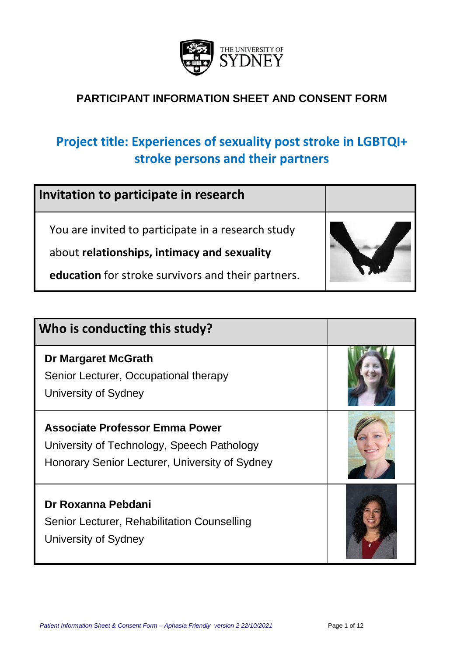

### **PARTICIPANT INFORMATION SHEET AND CONSENT FORM**

# **Project title: Experiences of sexuality post stroke in LGBTQI+ stroke persons and their partners**

| Invitation to participate in research              |  |
|----------------------------------------------------|--|
| You are invited to participate in a research study |  |
| about relationships, intimacy and sexuality        |  |
| education for stroke survivors and their partners. |  |

| Who is conducting this study?                                                                                                         |  |
|---------------------------------------------------------------------------------------------------------------------------------------|--|
| <b>Dr Margaret McGrath</b><br>Senior Lecturer, Occupational therapy<br>University of Sydney                                           |  |
| <b>Associate Professor Emma Power</b><br>University of Technology, Speech Pathology<br>Honorary Senior Lecturer, University of Sydney |  |
| Dr Roxanna Pebdani<br>Senior Lecturer, Rehabilitation Counselling<br>University of Sydney                                             |  |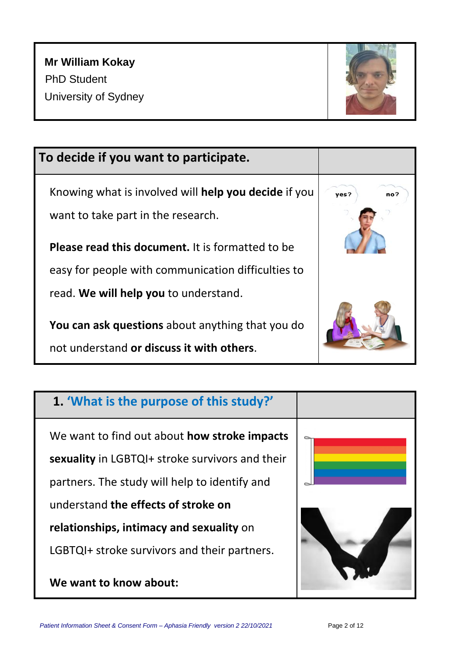**Mr William Kokay** PhD Student University of Sydney



| To decide if you want to participate.                                                         |             |
|-----------------------------------------------------------------------------------------------|-------------|
| Knowing what is involved will help you decide if you                                          | ves?<br>no? |
| want to take part in the research.                                                            |             |
| <b>Please read this document.</b> It is formatted to be                                       |             |
| easy for people with communication difficulties to                                            |             |
| read. We will help you to understand.                                                         |             |
| You can ask questions about anything that you do<br>not understand or discuss it with others. |             |

# **1. 'What is the purpose of this study?'** We want to find out about **how stroke impacts sexuality** in LGBTQI+ stroke survivors and their partners. The study will help to identify and



understand **the effects of stroke on** 

**relationships, intimacy and sexuality** on

LGBTQI+ stroke survivors and their partners.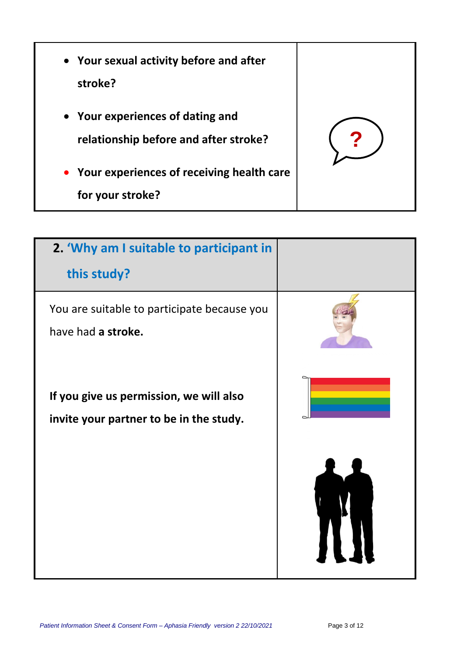| • Your sexual activity before and after<br>stroke?                      |  |
|-------------------------------------------------------------------------|--|
| Your experiences of dating and<br>relationship before and after stroke? |  |
| Your experiences of receiving health care<br>for your stroke?           |  |

| 2. 'Why am I suitable to participant in                                            |  |
|------------------------------------------------------------------------------------|--|
| this study?                                                                        |  |
| You are suitable to participate because you<br>have had a stroke.                  |  |
| If you give us permission, we will also<br>invite your partner to be in the study. |  |
|                                                                                    |  |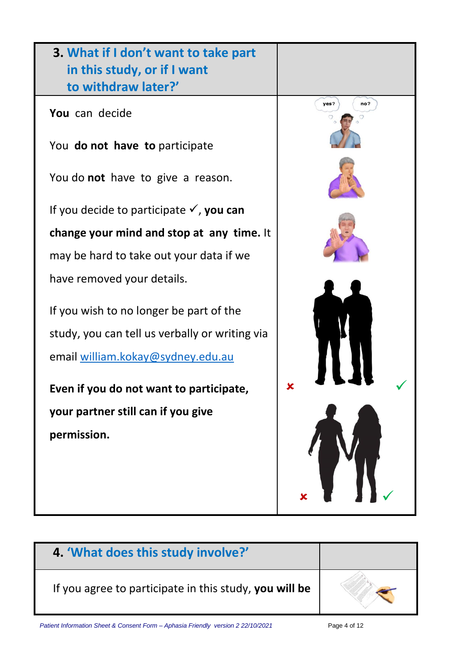

| 4. 'What does this study involve?'                     |  |
|--------------------------------------------------------|--|
| If you agree to participate in this study, you will be |  |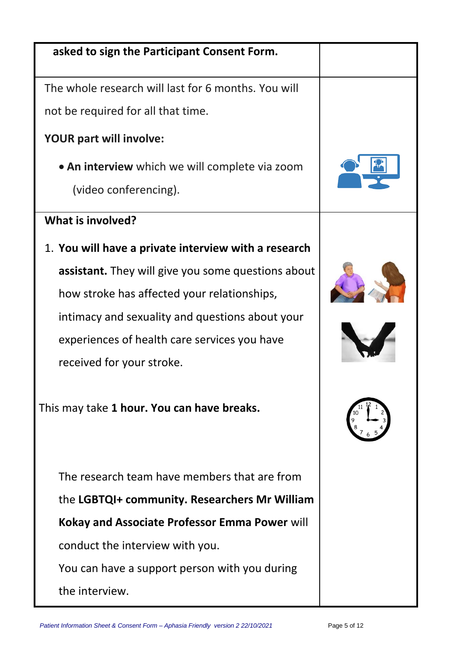| asked to sign the Participant Consent Form.               |  |
|-----------------------------------------------------------|--|
| The whole research will last for 6 months. You will       |  |
| not be required for all that time.                        |  |
| <b>YOUR part will involve:</b>                            |  |
| • An interview which we will complete via zoom            |  |
| (video conferencing).                                     |  |
| <b>What is involved?</b>                                  |  |
| 1. You will have a private interview with a research      |  |
| <b>assistant.</b> They will give you some questions about |  |
| how stroke has affected your relationships,               |  |
| intimacy and sexuality and questions about your           |  |
| experiences of health care services you have              |  |
| received for your stroke.                                 |  |
| This may take 1 hour. You can have breaks.                |  |
| The research team have members that are from              |  |
| the LGBTQI+ community. Researchers Mr William             |  |
| Kokay and Associate Professor Emma Power will             |  |
| conduct the interview with you.                           |  |
| You can have a support person with you during             |  |
| the interview.                                            |  |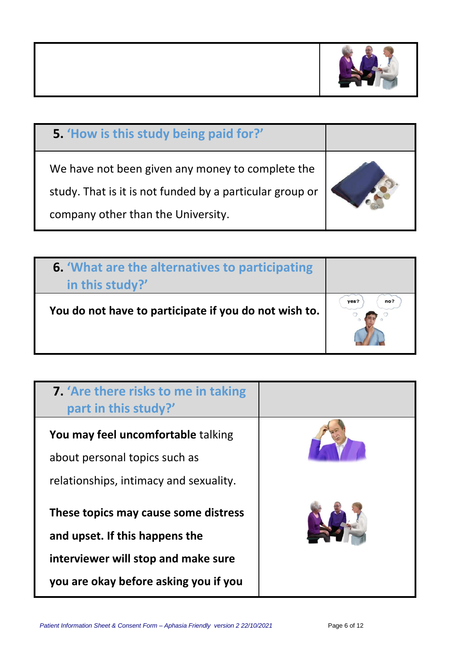

| 5. 'How is this study being paid for?'                                                                                                             |  |
|----------------------------------------------------------------------------------------------------------------------------------------------------|--|
| We have not been given any money to complete the<br>study. That is it is not funded by a particular group or<br>company other than the University. |  |

| 6. 'What are the alternatives to participating<br>in this study?' |             |
|-------------------------------------------------------------------|-------------|
| You do not have to participate if you do not wish to.             | yes?<br>no? |

| 7. 'Are there risks to me in taking<br>part in this study?'                                                                                            |  |
|--------------------------------------------------------------------------------------------------------------------------------------------------------|--|
| You may feel uncomfortable talking<br>about personal topics such as<br>relationships, intimacy and sexuality.                                          |  |
| These topics may cause some distress<br>and upset. If this happens the<br>interviewer will stop and make sure<br>you are okay before asking you if you |  |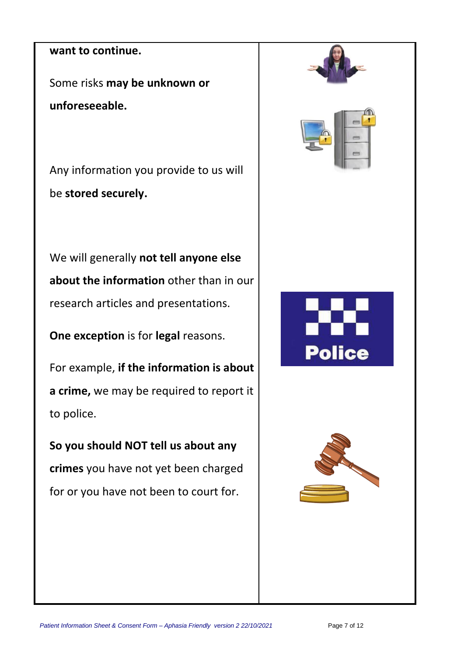#### **want to continue.**

Some risks **may be unknown or unforeseeable.** 

Any information you provide to us will be **stored securely.**

We will generally **not tell anyone else about the information** other than in our research articles and presentations.

**One exception** is for **legal** reasons.

For example, **if the information is about a crime,** we may be required to report it to police.

**So you should NOT tell us about any crimes** you have not yet been charged for or you have not been to court for.

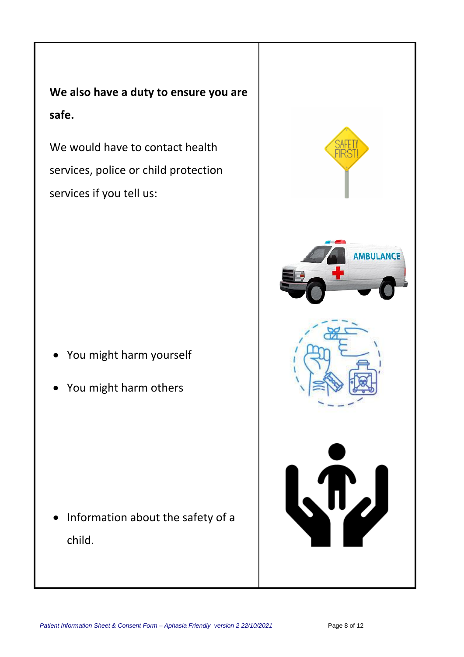**We also have a duty to ensure you are safe.**

We would have to contact health services, police or child protection services if you tell us:

- You might harm yourself
- You might harm others

• Information about the safety of a child.

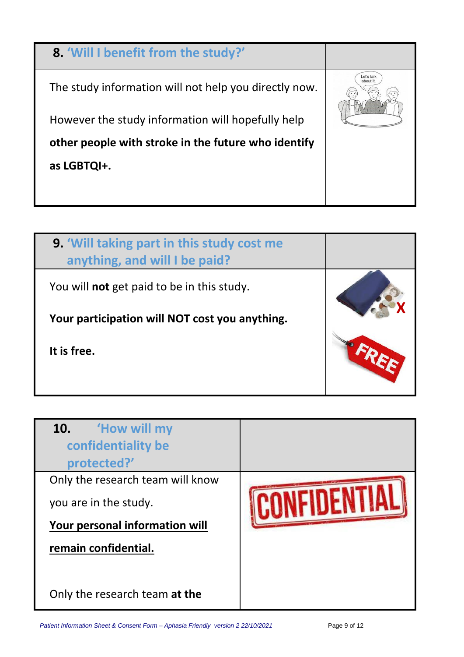

| 9. 'Will taking part in this study cost me<br>anything, and will I be paid? |  |
|-----------------------------------------------------------------------------|--|
| You will not get paid to be in this study.                                  |  |
| Your participation will NOT cost you anything.                              |  |
| It is free.                                                                 |  |
|                                                                             |  |

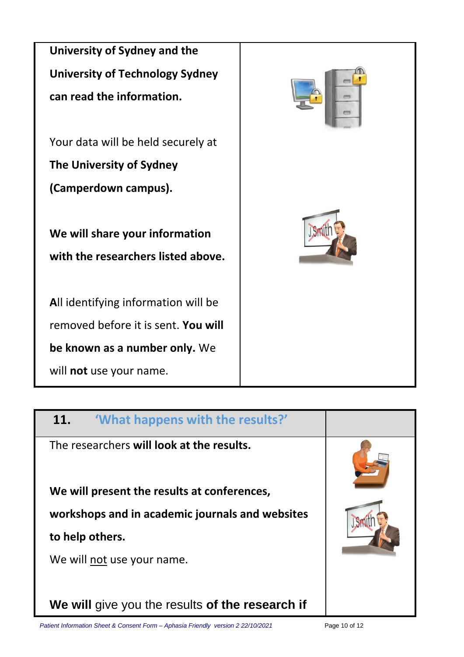**University of Sydney and the University of Technology Sydney can read the information.**

Your data will be held securely at **The University of Sydney (Camperdown campus).**

**We will share your information with the researchers listed above.**

**A**ll identifying information will be removed before it is sent. **You will be known as a number only.** We will **not** use your name.



| 'What happens with the results?'<br>11.                                                                                                                                                      |  |
|----------------------------------------------------------------------------------------------------------------------------------------------------------------------------------------------|--|
| The researchers will look at the results.<br>We will present the results at conferences,<br>workshops and in academic journals and websites<br>to help others.<br>We will not use your name. |  |
| We will give you the results of the research if                                                                                                                                              |  |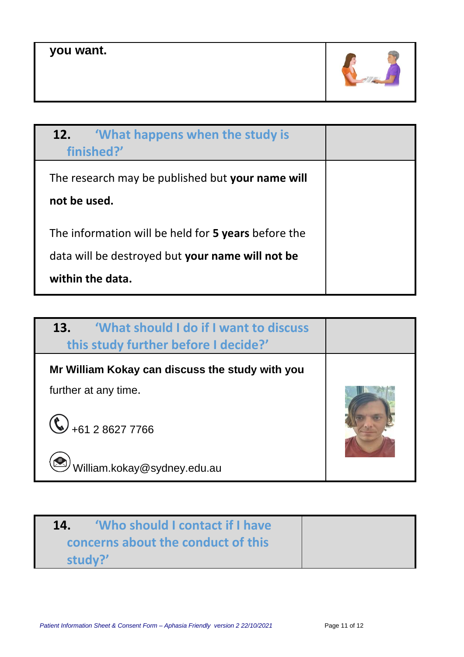

| 'What should I do if I want to discuss<br>13.<br>this study further before I decide?' |  |
|---------------------------------------------------------------------------------------|--|
| Mr William Kokay can discuss the study with you                                       |  |
| further at any time.                                                                  |  |
| $\bigcirc$ +61 2 8627 7766                                                            |  |
| William.kokay@sydney.edu.au                                                           |  |

| 14. | 'Who should I contact if I have    |  |
|-----|------------------------------------|--|
|     | concerns about the conduct of this |  |
|     | study?'                            |  |